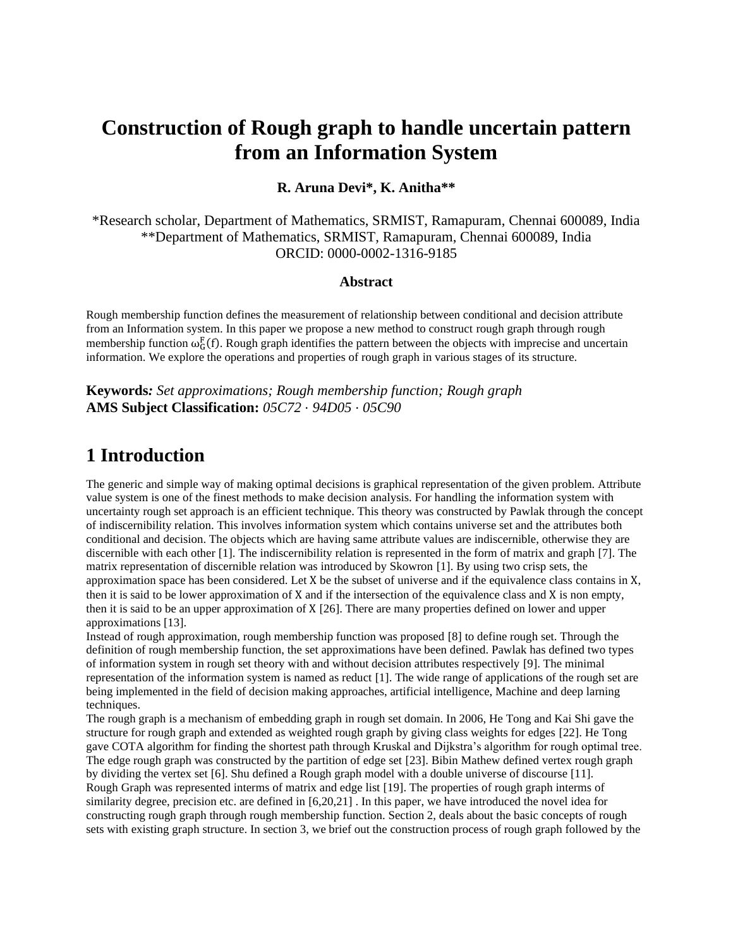# **Construction of Rough graph to handle uncertain pattern from an Information System**

#### **R. Aruna Devi\*, K. Anitha\*\***

\*Research scholar, Department of Mathematics, SRMIST, Ramapuram, Chennai 600089, India \*\*Department of Mathematics, SRMIST, Ramapuram, Chennai 600089, India ORCID: 0000-0002-1316-9185

#### **Abstract**

Rough membership function defines the measurement of relationship between conditional and decision attribute from an Information system. In this paper we propose a new method to construct rough graph through rough membership function  $\omega_G^F(f)$ . Rough graph identifies the pattern between the objects with imprecise and uncertain information. We explore the operations and properties of rough graph in various stages of its structure.

**Keywords***: Set approximations; Rough membership function; Rough graph* **AMS Subject Classification:** *05C72* ⋅ *94D05* ⋅ *05C90*

### **1 Introduction**

The generic and simple way of making optimal decisions is graphical representation of the given problem. Attribute value system is one of the finest methods to make decision analysis. For handling the information system with uncertainty rough set approach is an efficient technique. This theory was constructed by Pawlak through the concept of indiscernibility relation. This involves information system which contains universe set and the attributes both conditional and decision. The objects which are having same attribute values are indiscernible, otherwise they are discernible with each other [1]. The indiscernibility relation is represented in the form of matrix and graph [7]. The matrix representation of discernible relation was introduced by Skowron [1]. By using two crisp sets, the approximation space has been considered. Let X be the subset of universe and if the equivalence class contains in X, then it is said to be lower approximation of X and if the intersection of the equivalence class and X is non empty, then it is said to be an upper approximation of X [26]. There are many properties defined on lower and upper approximations [13].

Instead of rough approximation, rough membership function was proposed [8] to define rough set. Through the definition of rough membership function, the set approximations have been defined. Pawlak has defined two types of information system in rough set theory with and without decision attributes respectively [9]. The minimal representation of the information system is named as reduct [1]. The wide range of applications of the rough set are being implemented in the field of decision making approaches, artificial intelligence, Machine and deep larning techniques.

The rough graph is a mechanism of embedding graph in rough set domain. In 2006, He Tong and Kai Shi gave the structure for rough graph and extended as weighted rough graph by giving class weights for edges [22]. He Tong gave COTA algorithm for finding the shortest path through Kruskal and Dijkstra's algorithm for rough optimal tree. The edge rough graph was constructed by the partition of edge set [23]. Bibin Mathew defined vertex rough graph by dividing the vertex set [6]. Shu defined a Rough graph model with a double universe of discourse [11]. Rough Graph was represented interms of matrix and edge list [19]. The properties of rough graph interms of similarity degree, precision etc. are defined in [6,20,21]. In this paper, we have introduced the novel idea for constructing rough graph through rough membership function. Section 2, deals about the basic concepts of rough sets with existing graph structure. In section 3, we brief out the construction process of rough graph followed by the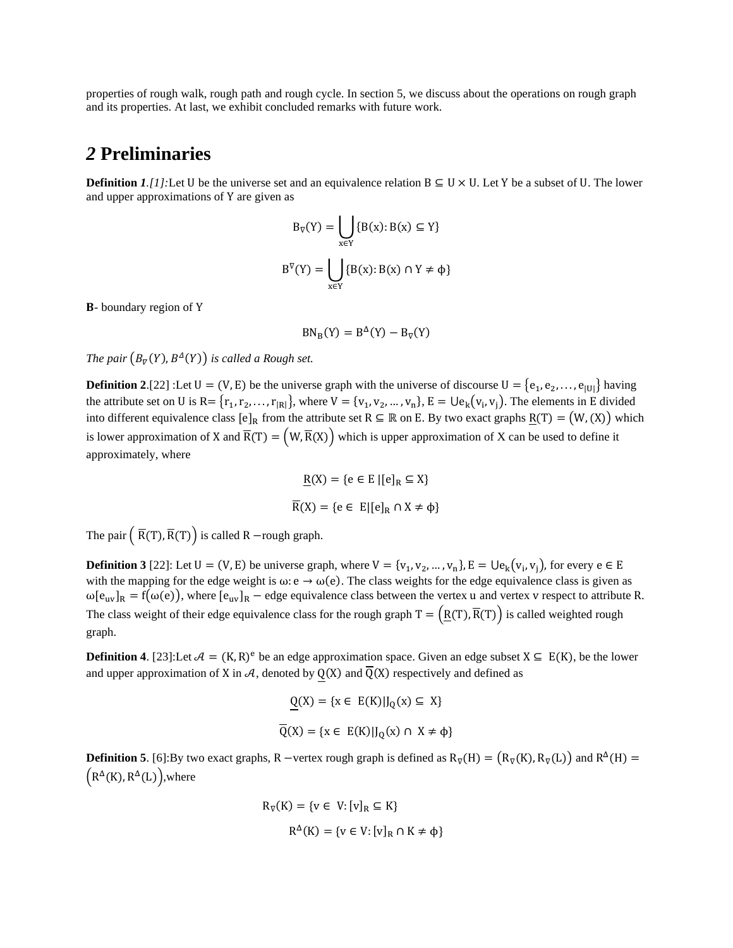properties of rough walk, rough path and rough cycle. In section 5, we discuss about the operations on rough graph and its properties. At last, we exhibit concluded remarks with future work.

### *2* **Preliminaries**

**Definition** *1.[1]*:Let U be the universe set and an equivalence relation  $B \subseteq U \times U$ . Let Y be a subset of U. The lower and upper approximations of Y are given as

$$
B_{\nabla}(Y) = \bigcup_{x \in Y} \{B(x) : B(x) \subseteq Y\}
$$

$$
B^{\nabla}(Y) = \bigcup_{x \in Y} \{B(x) : B(x) \cap Y \neq \emptyset\}
$$

**B**- boundary region of Y

$$
BN_B(Y) = B^{\Delta}(Y) - B_{\nabla}(Y)
$$

The pair  $\left(B_{\overline{V}}(Y),B^{\varDelta}(Y)\right)$  is called a Rough set.

**Definition 2**.[22] :Let  $U = (V, E)$  be the universe graph with the universe of discourse  $U = \{e_1, e_2, \ldots, e_{|U|}\}\$  having the attribute set on U is  $R = \{r_1, r_2, \ldots, r_{|R|}\}\$ , where  $V = \{v_1, v_2, \ldots, v_n\}$ ,  $E = \bigcup e_k(v_i, v_j)\$ . The elements in E divided into different equivalence class  $[e]_R$  from the attribute set R  $\subseteq \mathbb{R}$  on E. By two exact graphs  $\underline{R}(T) = (W, (X))$  which is lower approximation of X and  $\overline{R}(T) = (W, \overline{R}(X))$  which is upper approximation of X can be used to define it approximately, where

$$
\underline{R}(X) = \{e \in E \mid [e]_R \subseteq X\}
$$

$$
\overline{R}(X) = \{e \in E \mid [e]_R \cap X \neq \emptyset\}
$$

The pair  $\left( \overline{R}(T), \overline{R}(T) \right)$  is called R -rough graph.

**Definition 3** [22]: Let  $U = (V, E)$  be universe graph, where  $V = \{v_1, v_2, ..., v_n\}$ ,  $E = \bigcup e_k(v_i, v_j)$ , for every  $e \in E$ with the mapping for the edge weight is  $\omega: e \to \omega(e)$ . The class weights for the edge equivalence class is given as  $\omega[e_{uv}]_R = f(\omega(e))$ , where  $[e_{uv}]_R -$  edge equivalence class between the vertex u and vertex v respect to attribute R. The class weight of their edge equivalence class for the rough graph  $T = (R(T), \overline{R}(T))$  is called weighted rough graph.

**Definition 4**. [23]:Let  $A = (K, R)^e$  be an edge approximation space. Given an edge subset  $X \subseteq E(K)$ , be the lower and upper approximation of X in  $\mathcal{A}$ , denoted by Q(X) and  $\overline{Q}(X)$  respectively and defined as

$$
\underline{Q}(X) = \{x \in E(K)|J_{Q}(x) \subseteq X\}
$$
  

$$
\overline{Q}(X) = \{x \in E(K)|J_{Q}(x) \cap X \neq \emptyset\}
$$

**Definition 5**. [6]:By two exact graphs, R –vertex rough graph is defined as  $R_{\nabla}(H) = (R_{\nabla}(K), R_{\nabla}(L))$  and  $R^{\Delta}(H) =$  $(R^{\Delta}(K), R^{\Delta}(L))$ , where

$$
R_{\nabla}(K) = \{v \in V : [v]_R \subseteq K\}
$$

$$
R^{\Delta}(K) = \{v \in V : [v]_R \cap K \neq \emptyset\}
$$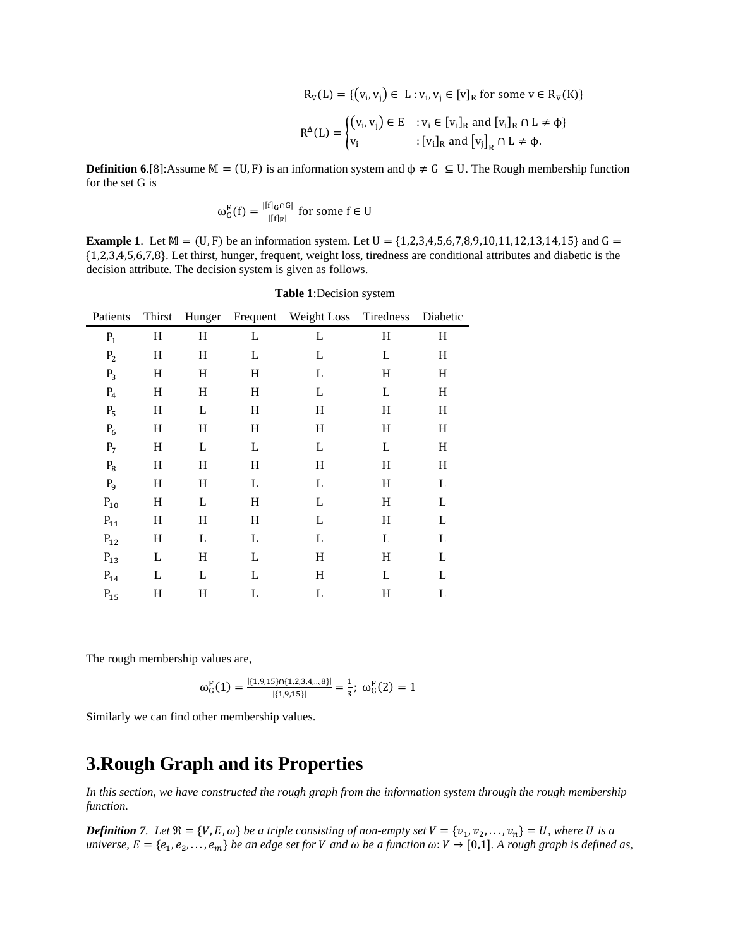$$
R_{\nabla}(L) = \{ (v_i, v_j) \in L : v_i, v_j \in [v]_R \text{ for some } v \in R_{\nabla}(K) \}
$$

$$
R^{4}(L) = \begin{cases} (v_i, v_j) \in E & : v_i \in [v_i]_R \text{ and } [v_i]_R \cap L \neq \emptyset \\ v_i & : [v_i]_R \text{ and } [v_j]_R \cap L \neq \emptyset. \end{cases}
$$

**Definition 6**.[8]:Assume  $\mathbb{M} = (\mathbf{U}, \mathbf{F})$  is an information system and  $\phi \neq \mathbf{G} \subseteq \mathbf{U}$ . The Rough membership function for the set G is

$$
\omega_G^F(f) = \frac{|[f]_G \cap G|}{|[f]_F|} \text{ for some } f \in U
$$

<span id="page-2-0"></span>**Example 1**. Let  $M = (U, F)$  be an information system. Let  $U = \{1,2,3,4,5,6,7,8,9,10,11,12,13,14,15\}$  and  $G =$ {1,2,3,4,5,6,7,8}. Let thirst, hunger, frequent, weight loss, tiredness are conditional attributes and diabetic is the decision attribute. The decision system is given as follows.

| Patients       | Thirst    | Hunger    |             | Frequent Weight Loss Tiredness |           | Diabetic |
|----------------|-----------|-----------|-------------|--------------------------------|-----------|----------|
| $P_1$          | Η         | Η         | $\mathbf L$ | L                              | Η         | Η        |
| P <sub>2</sub> | Η         | Η         | L           | L                              | L         | H        |
| $P_3$          | Η         | Η         | Η           | L                              | Η         | H        |
| $P_4$          | Η         | Η         | $H_{\rm}$   | L                              | L         | H        |
| $P_5$          | Η         | L         | H           | H                              | H         | H        |
| $P_6$          | Η         | Η         | Η           | Η                              | Η         | Η        |
| P <sub>7</sub> | Η         | L         | L           | L                              | L         | H        |
| $P_8$          | Η         | Η         | H           | H                              | H         | H        |
| P <sub>9</sub> | Η         | Η         | L           | L                              | Η         | L        |
| $P_{10}$       | H         | L         | $H_{\rm}$   | L                              | $H_{\rm}$ | L        |
| $P_{11}$       | Η         | Η         | H           | L                              | H         | L        |
| $P_{12}$       | H         | L         | L           | L                              | L         | L        |
| $P_{13}$       | L         | $H_{\rm}$ | L           | $H_{\rm}$                      | Η         | L        |
| $P_{14}$       | L         | L         | L           | H                              | L         | L        |
| $P_{15}$       | $H_{\rm}$ | H         | L           | L                              | H         | L        |

#### **Table 1**:Decision system

The rough membership values are,

$$
\omega_G^F(1) = \frac{|\{1,9,15\} \cap \{1,2,3,4,...,8\}|}{|\{1,9,15\}|} = \frac{1}{3}; \ \omega_G^F(2) = 1
$$

Similarly we can find other membership values.

### **3.Rough Graph and its Properties**

*In this section, we have constructed the rough graph from the information system through the rough membership function.*

*Definition 7.* Let  $\mathfrak{R} = \{V, E, \omega\}$  be a triple consisting of non-empty set  $V = \{v_1, v_2, \ldots, v_n\} = U$ , where U is a  $universe, E = \{e_1, e_2, \ldots, e_m\}$  be an edge set for V and  $\omega$  be a function  $\omega: V \to [0,1]$ . A rough graph is defined as,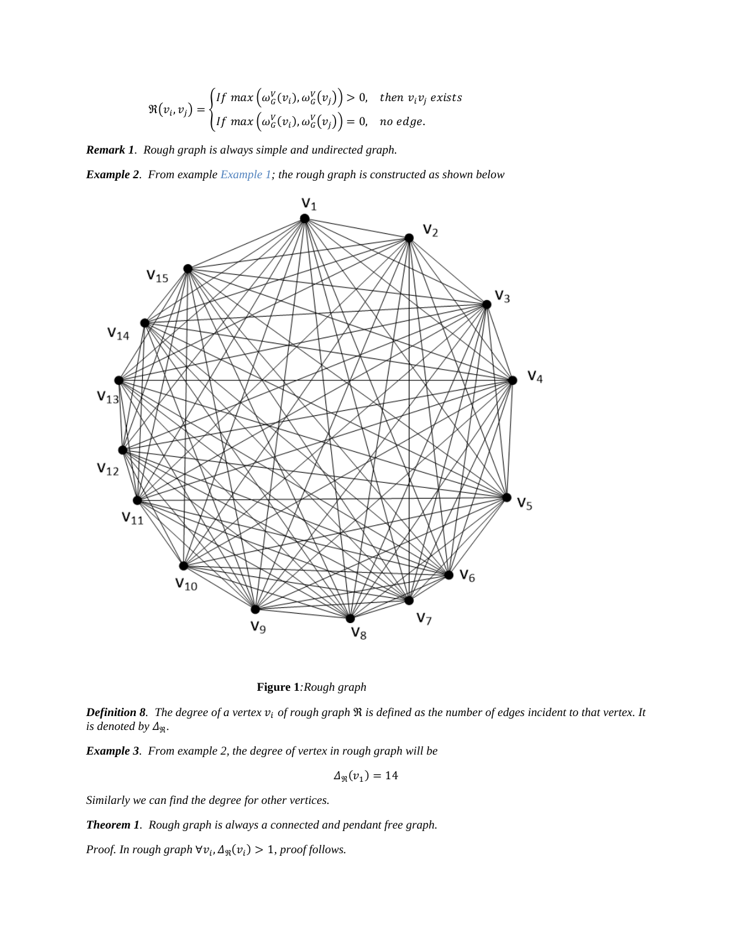$$
\mathfrak{R}(v_i, v_j) = \begin{cases} If \ max(\omega_G^V(v_i), \omega_G^V(v_j)) > 0, & then \ v_i v_j \ exists \\ If \ max(\omega_G^V(v_i), \omega_G^V(v_j)) = 0, & no \ edge. \end{cases}
$$

*Remark 1. Rough graph is always simple and undirected graph.*

*Example 2. From example [Example](#page-2-0) 1; the rough graph is constructed as shown below*



**Figure 1***:Rough graph*

*Definition 8. The degree of a vertex*  $v_i$  *of rough graph*  $\Re$  *is defined as the number of edges incident to that vertex. It is denoted by*  $\Delta_{\Re}$ *.* 

*Example 3. From example 2, the degree of vertex in rough graph will be* 

$$
\Delta_{\mathfrak{R}}(v_1)=14
$$

*Similarly we can find the degree for other vertices.*

*Theorem 1. Rough graph is always a connected and pendant free graph.*

*Proof. In rough graph*  $\forall v_i, \Delta_{\Re}(v_i) > 1$ , *proof follows.*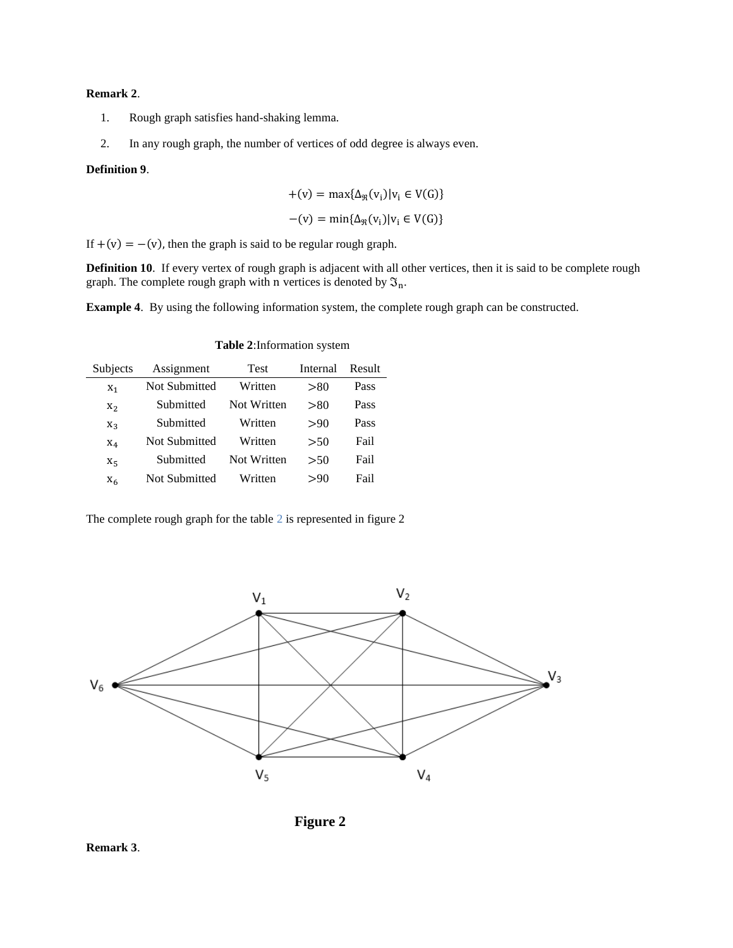#### **Remark 2**.

- 1. Rough graph satisfies hand-shaking lemma.
- 2. In any rough graph, the number of vertices of odd degree is always even.

#### **Definition 9**.

$$
+(v) = \max{\{\Delta_{\mathfrak{R}}(v_i)|v_i \in V(G)\}}
$$

$$
-(v) = \min{\{\Delta_{\mathfrak{R}}(v_i)|v_i \in V(G)\}}
$$

If  $+(v) = -(v)$ , then the graph is said to be regular rough graph.

**Definition 10**. If every vertex of rough graph is adjacent with all other vertices, then it is said to be complete rough graph. The complete rough graph with n vertices is denoted by  $\mathfrak{I}_n$ .

**Example 4**. By using the following information system, the complete rough graph can be constructed.

<span id="page-4-0"></span>

| Subjects       | Assignment    | <b>Test</b> | Internal | Result |
|----------------|---------------|-------------|----------|--------|
| $X_1$          | Not Submitted | Written     | > 80     | Pass   |
| $X_2$          | Submitted     | Not Written | > 80     | Pass   |
| $X_3$          | Submitted     | Written     | >90      | Pass   |
| $X_4$          | Not Submitted | Written     | > 50     | Fail   |
| X <sub>5</sub> | Submitted     | Not Written | >50      | Fail   |
| $X_6$          | Not Submitted | Written     | >90      | Fail   |

 **Table 2**:Information system

The complete rough graph for the table [2](#page-4-0) is represented in figure 2





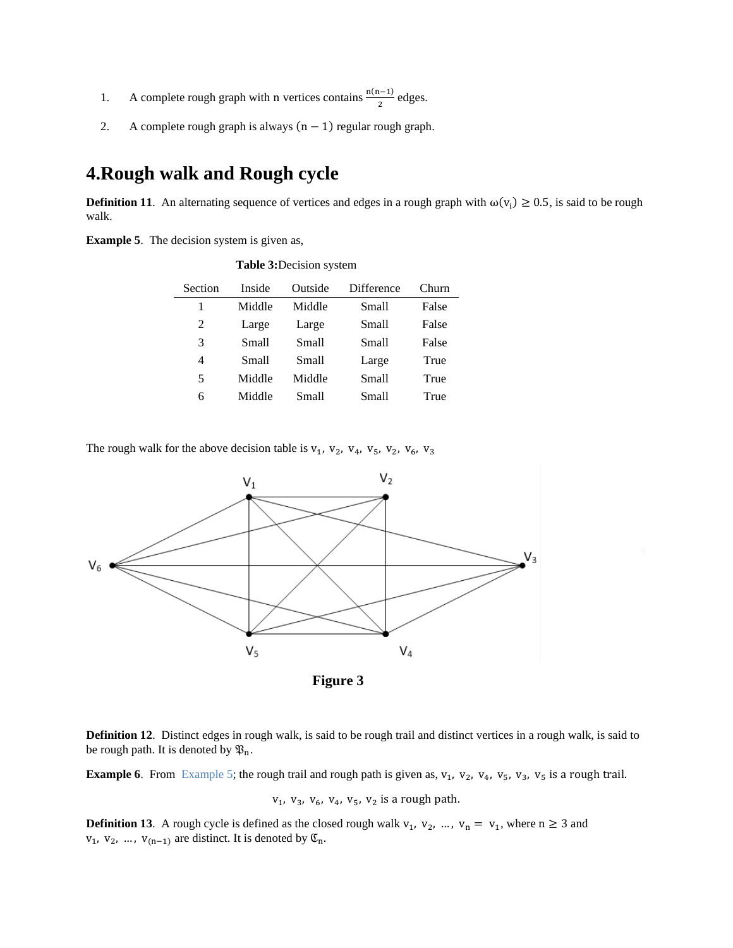- 1. A complete rough graph with n vertices contains  $\frac{n(n-1)}{2}$  edges.
- 2. A complete rough graph is always  $(n 1)$  regular rough graph.

## **4.Rough walk and Rough cycle**

**Definition 11**. An alternating sequence of vertices and edges in a rough graph with  $\omega(v_i) \ge 0.5$ , is said to be rough walk.

<span id="page-5-0"></span>**Example 5**. The decision system is given as,

| <b>Table 3: Decision system</b> |        |         |            |       |  |  |  |
|---------------------------------|--------|---------|------------|-------|--|--|--|
| Section                         | Inside | Outside | Difference | Churn |  |  |  |
| 1                               | Middle | Middle  | Small      | False |  |  |  |
| 2                               | Large  | Large   | Small      | False |  |  |  |
| 3                               | Small  | Small   | Small      | False |  |  |  |
| 4                               | Small  | Small   | Large      | True  |  |  |  |
| 5                               | Middle | Middle  | Small      | True  |  |  |  |
| 6                               | Middle | Small   | Small      | True  |  |  |  |

The rough walk for the above decision table is  $v_1$ ,  $v_2$ ,  $v_4$ ,  $v_5$ ,  $v_2$ ,  $v_6$ ,  $v_3$ 



**Definition 12**. Distinct edges in rough walk, is said to be rough trail and distinct vertices in a rough walk, is said to be rough path. It is denoted by  $\mathfrak{P}_n$ .

**Example 6**. From [Example](#page-5-0) 5; the rough trail and rough path is given as,  $v_1$ ,  $v_2$ ,  $v_4$ ,  $v_5$ ,  $v_3$ ,  $v_5$  is a rough trail.

 $v_1$ ,  $v_3$ ,  $v_6$ ,  $v_4$ ,  $v_5$ ,  $v_2$  is a rough path.

**Definition 13**. A rough cycle is defined as the closed rough walk  $v_1$ ,  $v_2$ , ...,  $v_n = v_1$ , where  $n \ge 3$  and  $v_1, v_2, ..., v_{(n-1)}$  are distinct. It is denoted by  $\mathfrak{C}_n$ .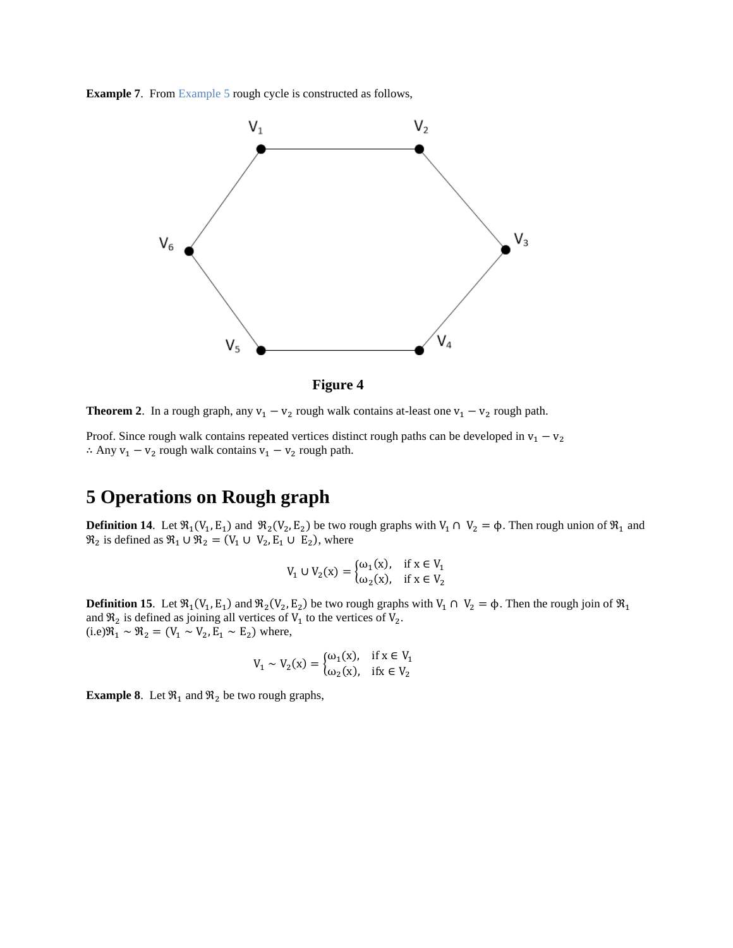**Example 7.** From [Example](#page-5-0) 5 rough cycle is constructed as follows,



**Figure 4**

**Theorem 2.** In a rough graph, any  $v_1 - v_2$  rough walk contains at-least one  $v_1 - v_2$  rough path.

Proof. Since rough walk contains repeated vertices distinct rough paths can be developed in  $v_1 - v_2$ ∴ Any  $v_1 - v_2$  rough walk contains  $v_1 - v_2$  rough path.

# **5 Operations on Rough graph**

**Definition 14**. Let  $\mathcal{R}_1(V_1, E_1)$  and  $\mathcal{R}_2(V_2, E_2)$  be two rough graphs with  $V_1 \cap V_2 = \phi$ . Then rough union of  $\mathcal{R}_1$  and  $\mathfrak{R}_2$  is defined as  $\mathfrak{R}_1 \cup \mathfrak{R}_2 = (V_1 \cup V_2, E_1 \cup E_2)$ , where

$$
V_1 \cup V_2(x) = \begin{cases} \omega_1(x), & \text{if } x \in V_1 \\ \omega_2(x), & \text{if } x \in V_2 \end{cases}
$$

**Definition 15**. Let  $\mathcal{R}_1(V_1, E_1)$  and  $\mathcal{R}_2(V_2, E_2)$  be two rough graphs with  $V_1 \cap V_2 = \phi$ . Then the rough join of  $\mathcal{R}_1$ and  $\mathfrak{R}_2$  is defined as joining all vertices of  $V_1$  to the vertices of  $V_2$ .  $(i.e)$  $\mathfrak{R}_1 \sim \mathfrak{R}_2 = (V_1 \sim V_2, E_1 \sim E_2)$  where,

$$
V_1 \sim V_2(x) = \begin{cases} \omega_1(x), & \text{if } x \in V_1 \\ \omega_2(x), & \text{if } x \in V_2 \end{cases}
$$

**Example 8**. Let  $\mathfrak{R}_1$  and  $\mathfrak{R}_2$  be two rough graphs,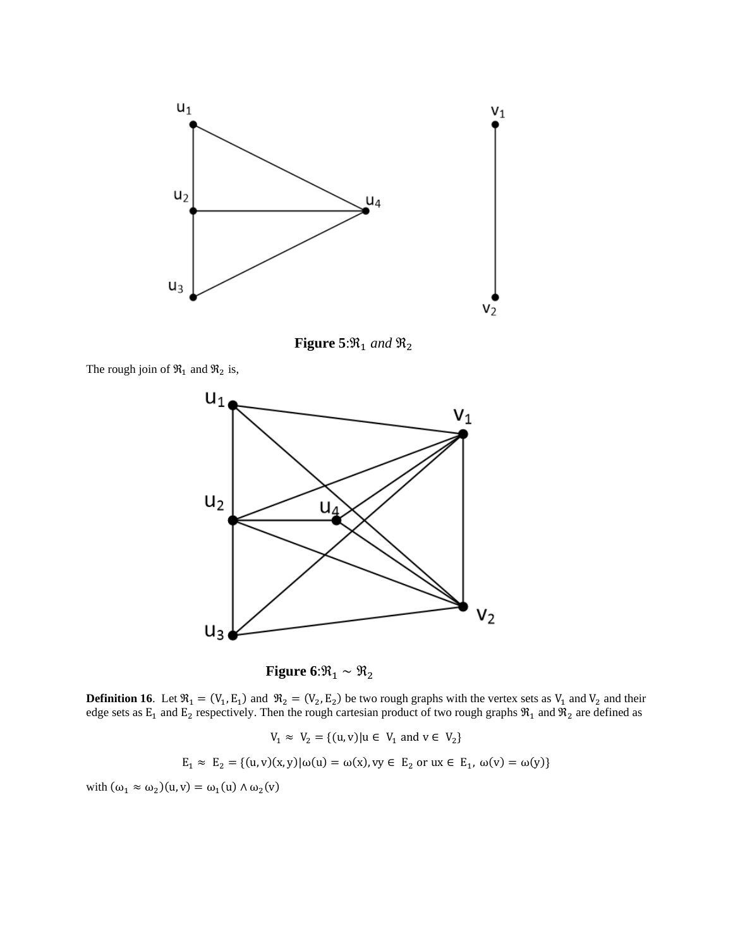

**Figure 5**: $\Re_1$  *and*  $\Re_2$ 

The rough join of  $\mathfrak{R}_1$  and  $\mathfrak{R}_2$  is,



**Figure 6**: $\mathfrak{R}_1 \sim \mathfrak{R}_2$ 

**Definition 16**. Let  $\mathcal{R}_1 = (V_1, E_1)$  and  $\mathcal{R}_2 = (V_2, E_2)$  be two rough graphs with the vertex sets as  $V_1$  and  $V_2$  and their edge sets as  $E_1$  and  $E_2$  respectively. Then the rough cartesian product of two rough graphs  $\Re_1$  and  $\Re_2$  are defined as

$$
V_1 \approx V_2 = \{(u, v) | u \in V_1 \text{ and } v \in V_2\}
$$
  

$$
E_1 \approx E_2 = \{(u, v)(x, y) | \omega(u) = \omega(x), v y \in E_2 \text{ or } ux \in E_1, \omega(v) = \omega(y)\}
$$

with  $(\omega_1 \approx \omega_2)(u, v) = \omega_1(u) \wedge \omega_2(v)$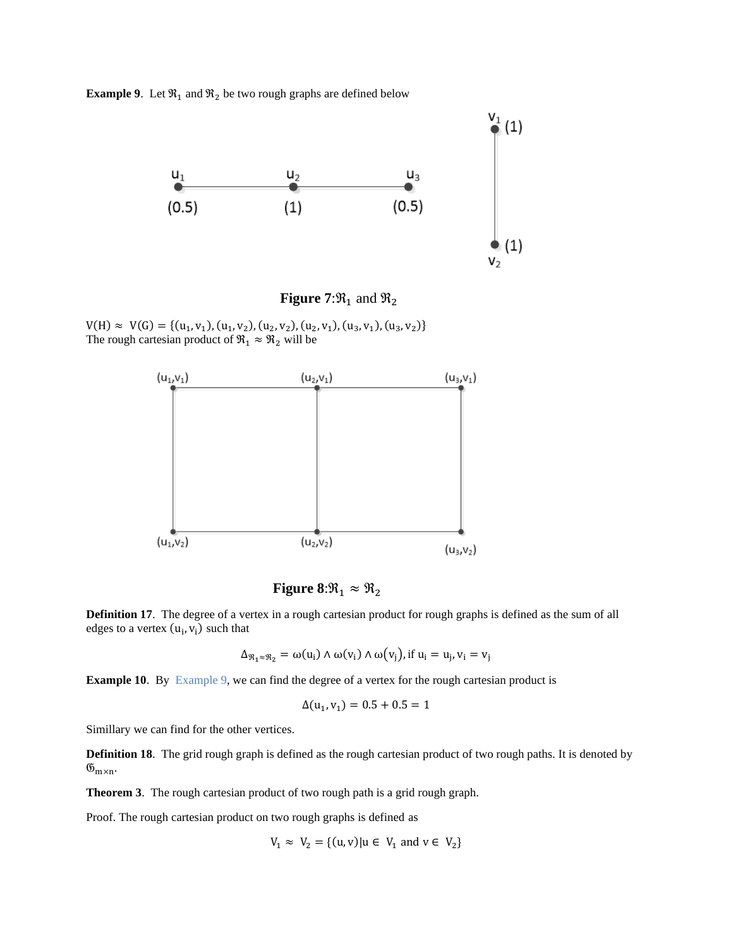<span id="page-8-0"></span>**Example 9.** Let  $\mathfrak{R}_1$  and  $\mathfrak{R}_2$  be two rough graphs are defined below





 $V(H) \approx V(G) = \{(u_1, v_1), (u_1, v_2), (u_2, v_2), (u_2, v_1), (u_3, v_1), (u_3, v_2)\}$ The rough cartesian product of  $\mathfrak{R}_1 \approx \mathfrak{R}_2$  will be



**Figure 8**: $\mathfrak{R}_1 \approx \mathfrak{R}_2$ 

**Definition 17**. The degree of a vertex in a rough cartesian product for rough graphs is defined as the sum of all edges to a vertex  $(u_i, v_i)$  such that

$$
\Delta_{\Re_1 \approx \Re_2} = \omega(u_i) \wedge \omega(v_i) \wedge \omega(v_j), \text{if } u_i = u_j, v_i = v_j
$$

**Example 10**. By [Example](#page-8-0) 9, we can find the degree of a vertex for the rough cartesian product is

$$
\Delta(u_1, v_1) = 0.5 + 0.5 = 1
$$

Simillary we can find for the other vertices.

**Definition 18**. The grid rough graph is defined as the rough cartesian product of two rough paths. It is denoted by  $\mathfrak{G}_{m \times n}$ .

**Theorem 3**. The rough cartesian product of two rough path is a grid rough graph.

Proof. The rough cartesian product on two rough graphs is defined as

$$
V_1 \approx V_2 = \{(u, v) | u \in V_1 \text{ and } v \in V_2\}
$$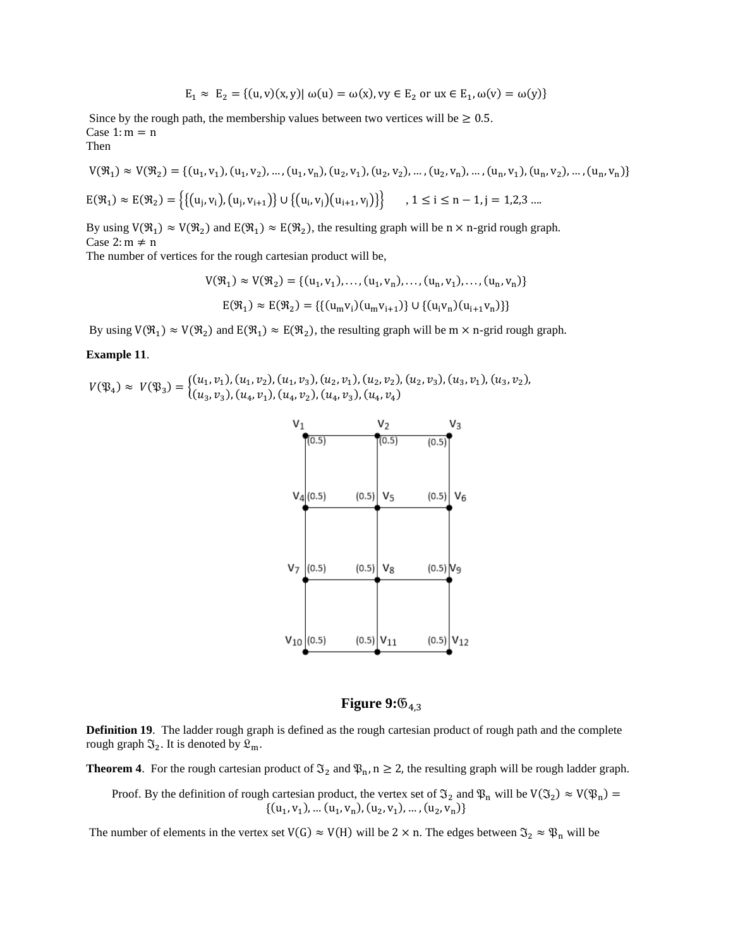$$
E_1 \approx E_2 = \{(u, v)(x, y) | \omega(u) = \omega(x), vy \in E_2 \text{ or } ux \in E_1, \omega(v) = \omega(y)\}
$$

Since by the rough path, the membership values between two vertices will be  $\geq 0.5$ . Case  $1: m = n$ 

Then

$$
V(\mathfrak{R}_1) \approx V(\mathfrak{R}_2) = \{(u_1, v_1), (u_1, v_2), \dots, (u_1, v_n), (u_2, v_1), (u_2, v_2), \dots, (u_2, v_n), \dots, (u_n, v_1), (u_n, v_2), \dots, (u_n, v_n)\}
$$

$$
E(\mathfrak{R}_1) \approx E(\mathfrak{R}_2) = \left\{ \left\{ (u_j, v_i), (u_j, v_{i+1}) \right\} \cup \left\{ (u_i, v_j)(u_{i+1}, v_j) \right\} \right\} \quad , 1 \le i \le n-1, j = 1, 2, 3 \dots
$$

By using  $V(\mathfrak{R}_1) \approx V(\mathfrak{R}_2)$  and  $E(\mathfrak{R}_1) \approx E(\mathfrak{R}_2)$ , the resulting graph will be  $n \times n$ -grid rough graph. Case  $2: m \neq n$ 

The number of vertices for the rough cartesian product will be,

$$
V(\mathfrak{R}_1) \approx V(\mathfrak{R}_2) = \{(u_1, v_1), \dots, (u_1, v_n), \dots, (u_n, v_1), \dots, (u_n, v_n)\}
$$

$$
E(\mathfrak{R}_1) \approx E(\mathfrak{R}_2) = \{\{(u_m v_i)(u_m v_{i+1})\} \cup \{(u_i v_n)(u_{i+1} v_n)\}\}
$$

By using  $V(\mathfrak{R}_1) \approx V(\mathfrak{R}_2)$  and  $E(\mathfrak{R}_1) \approx E(\mathfrak{R}_2)$ , the resulting graph will be m  $\times$  n-grid rough graph.

#### **Example 11**.

$$
V(\mathfrak{P}_4) \approx V(\mathfrak{P}_3) = \begin{cases} (u_1, v_1), (u_1, v_2), (u_1, v_3), (u_2, v_1), (u_2, v_2), (u_2, v_3), (u_3, v_1), (u_3, v_2), (u_4, v_3), (u_4, v_2), (u_4, v_3), (u_4, v_4) \end{cases}
$$





**Definition 19**. The ladder rough graph is defined as the rough cartesian product of rough path and the complete rough graph  $\mathfrak{I}_2$ . It is denoted by  $\mathfrak{L}_m$ .

**Theorem 4**. For the rough cartesian product of  $\mathfrak{I}_2$  and  $\mathfrak{P}_n$ ,  $n \ge 2$ , the resulting graph will be rough ladder graph.

Proof. By the definition of rough cartesian product, the vertex set of  $\mathfrak{I}_2$  and  $\mathfrak{P}_n$  will be  $V(\mathfrak{I}_2) \approx V(\mathfrak{P}_n) =$  $\{(u_1, v_1), \dots (u_1, v_n), (u_2, v_1), \dots, (u_2, v_n)\}\$ 

The number of elements in the vertex set  $V(G) \approx V(H)$  will be 2 × n. The edges between  $\mathfrak{I}_2 \approx \mathfrak{P}_n$  will be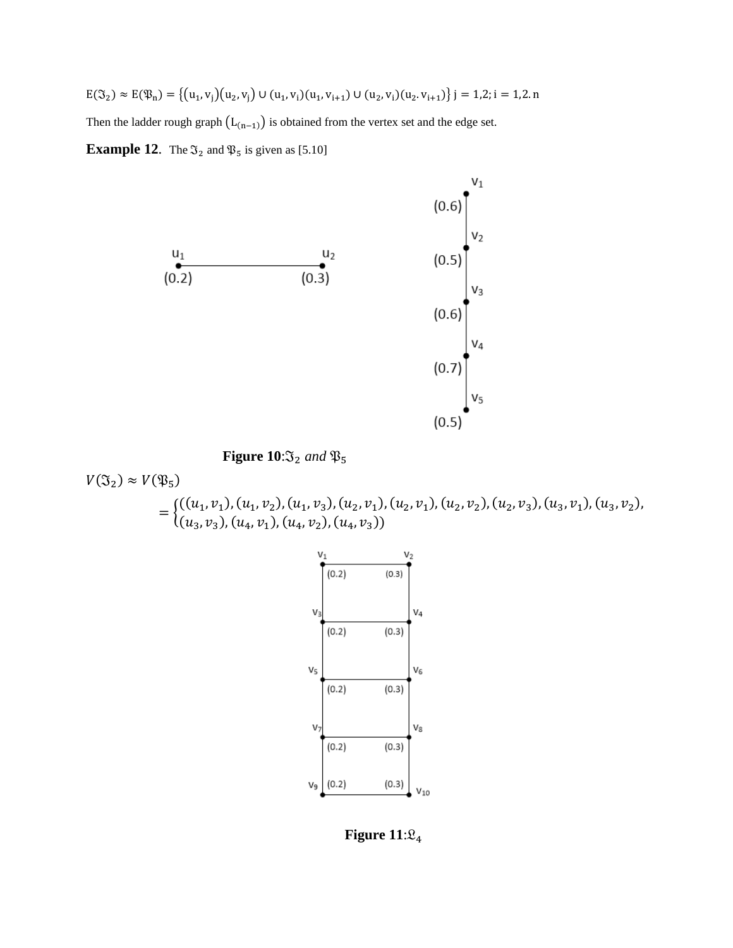$E(\mathfrak{F}_2) \approx E(\mathfrak{P}_n) = \{(u_1, v_1)(u_2, v_1) \cup (u_1, v_1)(u_1, v_{1+1}) \cup (u_2, v_1)(u_2, v_{1+1})\}$  j = 1,2; i = 1,2. n Then the ladder rough graph  $(L_{(n-1)})$  is obtained from the vertex set and the edge set.

**Example 12.** The  $\mathfrak{I}_2$  and  $\mathfrak{P}_5$  is given as [5.10]



Figure  $10:\!\mathfrak{I}_2$  and  $\mathfrak{P}_5$ 

 $V(\mathfrak{J}_2) \approx V(\mathfrak{P}_5)$ 

 $=\left\{\n \begin{array}{l}\n ((u_1, v_1), (u_1, v_2), (u_1, v_3), (u_2, v_1), (u_2, v_1), (u_2, v_2), (u_2, v_3), (u_3, v_1), (u_3, v_2),\n \end{array}\n \right\}$  $(u_3, v_3), (u_4, v_1), (u_4, v_2), (u_4, v_3))$ 



**Figure 11:** $\mathfrak{L}_4$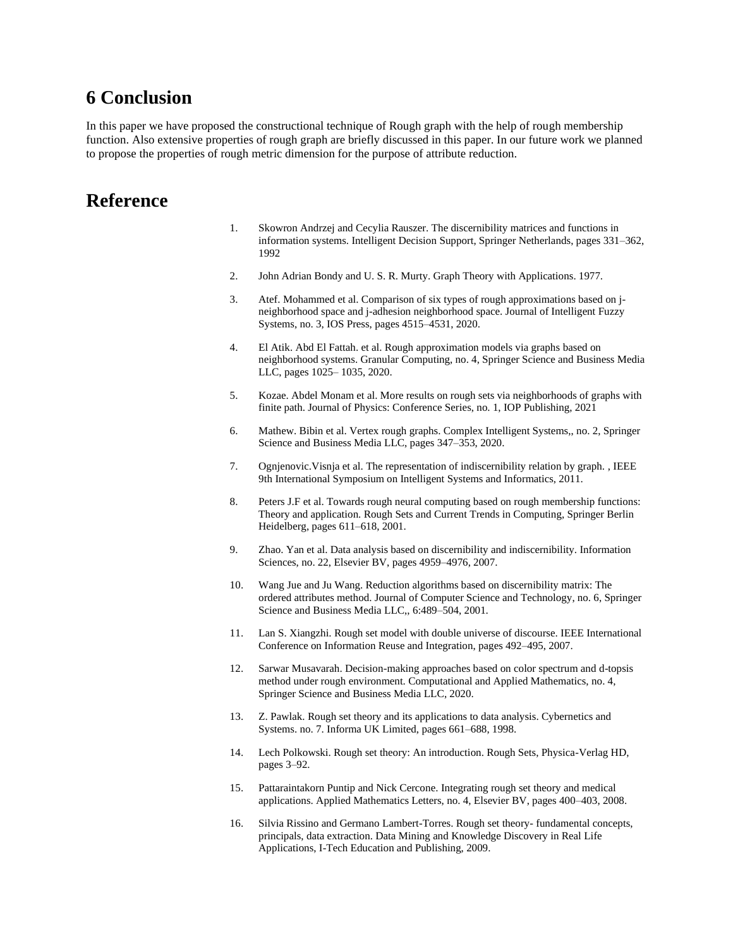### **6 Conclusion**

In this paper we have proposed the constructional technique of Rough graph with the help of rough membership function. Also extensive properties of rough graph are briefly discussed in this paper. In our future work we planned to propose the properties of rough metric dimension for the purpose of attribute reduction.

## **Reference**

- 1. Skowron Andrzej and Cecylia Rauszer. The discernibility matrices and functions in information systems. Intelligent Decision Support, Springer Netherlands, pages 331–362, 1992
- 2. John Adrian Bondy and U. S. R. Murty. Graph Theory with Applications. 1977.
- 3. Atef. Mohammed et al. Comparison of six types of rough approximations based on jneighborhood space and j-adhesion neighborhood space. Journal of Intelligent Fuzzy Systems, no. 3, IOS Press, pages 4515–4531, 2020.
- 4. El Atik. Abd El Fattah. et al. Rough approximation models via graphs based on neighborhood systems. Granular Computing, no. 4, Springer Science and Business Media LLC, pages 1025– 1035, 2020.
- 5. Kozae. Abdel Monam et al. More results on rough sets via neighborhoods of graphs with finite path. Journal of Physics: Conference Series, no. 1, IOP Publishing, 2021
- 6. Mathew. Bibin et al. Vertex rough graphs. Complex Intelligent Systems,, no. 2, Springer Science and Business Media LLC, pages 347–353, 2020.
- 7. Ognjenovic.Visnja et al. The representation of indiscernibility relation by graph. , IEEE 9th International Symposium on Intelligent Systems and Informatics, 2011.
- 8. Peters J.F et al. Towards rough neural computing based on rough membership functions: Theory and application. Rough Sets and Current Trends in Computing, Springer Berlin Heidelberg, pages 611–618, 2001.
- 9. Zhao. Yan et al. Data analysis based on discernibility and indiscernibility. Information Sciences, no. 22, Elsevier BV, pages 4959–4976, 2007.
- 10. Wang Jue and Ju Wang. Reduction algorithms based on discernibility matrix: The ordered attributes method. Journal of Computer Science and Technology, no. 6, Springer Science and Business Media LLC,, 6:489–504, 2001.
- 11. Lan S. Xiangzhi. Rough set model with double universe of discourse. IEEE International Conference on Information Reuse and Integration, pages 492–495, 2007.
- 12. Sarwar Musavarah. Decision-making approaches based on color spectrum and d-topsis method under rough environment. Computational and Applied Mathematics, no. 4, Springer Science and Business Media LLC, 2020.
- 13. Z. Pawlak. Rough set theory and its applications to data analysis. Cybernetics and Systems. no. 7. Informa UK Limited, pages 661–688, 1998.
- 14. Lech Polkowski. Rough set theory: An introduction. Rough Sets, Physica-Verlag HD, pages 3–92.
- 15. Pattaraintakorn Puntip and Nick Cercone. Integrating rough set theory and medical applications. Applied Mathematics Letters, no. 4, Elsevier BV, pages 400–403, 2008.
- 16. Silvia Rissino and Germano Lambert-Torres. Rough set theory- fundamental concepts, principals, data extraction. Data Mining and Knowledge Discovery in Real Life Applications, I-Tech Education and Publishing, 2009.